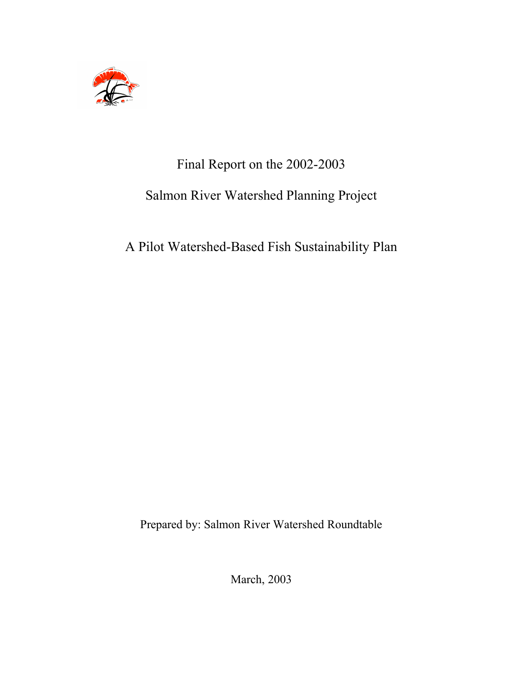

# Final Report on the 2002-2003

## Salmon River Watershed Planning Project

## A Pilot Watershed-Based Fish Sustainability Plan

Prepared by: Salmon River Watershed Roundtable

March, 2003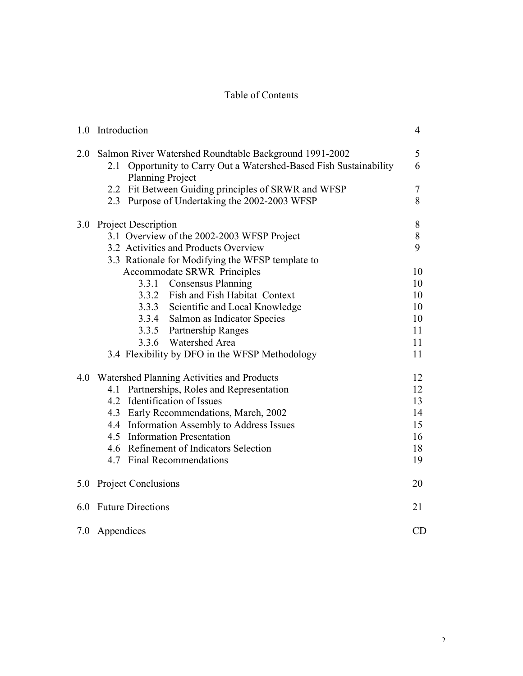## Table of Contents

|     | 1.0 Introduction                                                                              | $\overline{4}$ |
|-----|-----------------------------------------------------------------------------------------------|----------------|
| 2.0 | Salmon River Watershed Roundtable Background 1991-2002                                        | 5              |
|     | 2.1 Opportunity to Carry Out a Watershed-Based Fish Sustainability<br><b>Planning Project</b> | 6              |
|     | 2.2 Fit Between Guiding principles of SRWR and WFSP                                           | 7              |
|     | 2.3 Purpose of Undertaking the 2002-2003 WFSP                                                 | 8              |
| 3.0 | Project Description                                                                           | 8              |
|     | 3.1 Overview of the 2002-2003 WFSP Project                                                    | $8\,$          |
|     | 3.2 Activities and Products Overview                                                          | 9              |
|     | 3.3 Rationale for Modifying the WFSP template to                                              |                |
|     | <b>Accommodate SRWR Principles</b>                                                            | 10             |
|     | 3.3.1 Consensus Planning                                                                      | 10             |
|     | 3.3.2 Fish and Fish Habitat Context                                                           | 10             |
|     | 3.3.3 Scientific and Local Knowledge                                                          | 10             |
|     | 3.3.4 Salmon as Indicator Species                                                             | 10             |
|     | 3.3.5 Partnership Ranges                                                                      | 11             |
|     | 3.3.6 Watershed Area                                                                          | 11             |
|     | 3.4 Flexibility by DFO in the WFSP Methodology                                                | 11             |
| 4.0 | Watershed Planning Activities and Products                                                    | 12             |
|     | 4.1 Partnerships, Roles and Representation                                                    | 12             |
|     | 4.2 Identification of Issues                                                                  | 13             |
|     | 4.3 Early Recommendations, March, 2002                                                        | 14             |
|     | 4.4 Information Assembly to Address Issues                                                    | 15             |
|     | 4.5 Information Presentation                                                                  | 16             |
|     | 4.6 Refinement of Indicators Selection                                                        | 18             |
|     | 4.7 Final Recommendations                                                                     | 19             |
| 5.0 | Project Conclusions                                                                           | 20             |
| 6.0 | <b>Future Directions</b><br>21                                                                |                |
| 7.0 | Appendices                                                                                    | CD             |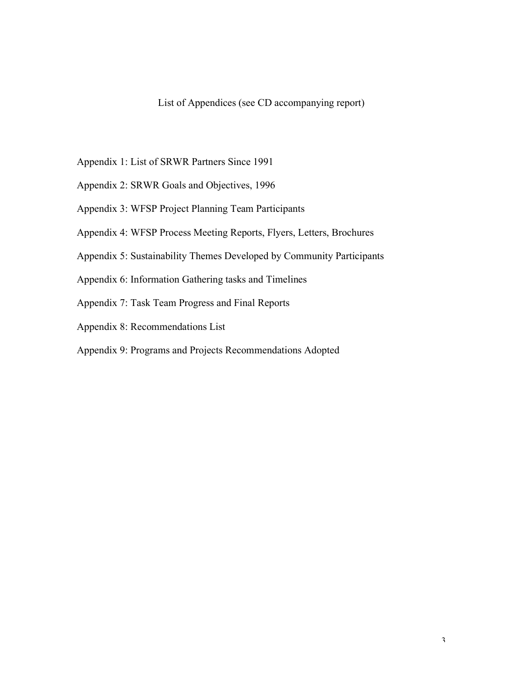## List of Appendices (see CD accompanying report)

- Appendix 1: List of SRWR Partners Since 1991
- Appendix 2: SRWR Goals and Objectives, 1996
- Appendix 3: WFSP Project Planning Team Participants
- Appendix 4: WFSP Process Meeting Reports, Flyers, Letters, Brochures
- Appendix 5: Sustainability Themes Developed by Community Participants
- Appendix 6: Information Gathering tasks and Timelines
- Appendix 7: Task Team Progress and Final Reports
- Appendix 8: Recommendations List
- Appendix 9: Programs and Projects Recommendations Adopted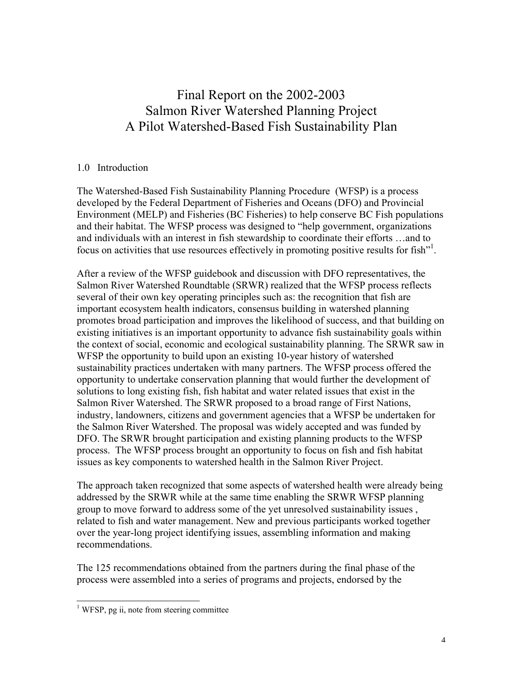## Final Report on the 2002-2003 Salmon River Watershed Planning Project A Pilot Watershed-Based Fish Sustainability Plan

#### 1.0 Introduction

The Watershed-Based Fish Sustainability Planning Procedure (WFSP) is a process developed by the Federal Department of Fisheries and Oceans (DFO) and Provincial Environment (MELP) and Fisheries (BC Fisheries) to help conserve BC Fish populations and their habitat. The WFSP process was designed to "help government, organizations and individuals with an interest in fish stewardship to coordinate their efforts …and to focus on activities that use resources effectively in promoting positive results for fish"<sup>1</sup>.

After a review of the WFSP guidebook and discussion with DFO representatives, the Salmon River Watershed Roundtable (SRWR) realized that the WFSP process reflects several of their own key operating principles such as: the recognition that fish are important ecosystem health indicators, consensus building in watershed planning promotes broad participation and improves the likelihood of success, and that building on existing initiatives is an important opportunity to advance fish sustainability goals within the context of social, economic and ecological sustainability planning. The SRWR saw in WFSP the opportunity to build upon an existing 10-year history of watershed sustainability practices undertaken with many partners. The WFSP process offered the opportunity to undertake conservation planning that would further the development of solutions to long existing fish, fish habitat and water related issues that exist in the Salmon River Watershed. The SRWR proposed to a broad range of First Nations, industry, landowners, citizens and government agencies that a WFSP be undertaken for the Salmon River Watershed. The proposal was widely accepted and was funded by DFO. The SRWR brought participation and existing planning products to the WFSP process. The WFSP process brought an opportunity to focus on fish and fish habitat issues as key components to watershed health in the Salmon River Project.

The approach taken recognized that some aspects of watershed health were already being addressed by the SRWR while at the same time enabling the SRWR WFSP planning group to move forward to address some of the yet unresolved sustainability issues , related to fish and water management. New and previous participants worked together over the year-long project identifying issues, assembling information and making recommendations.

The 125 recommendations obtained from the partners during the final phase of the process were assembled into a series of programs and projects, endorsed by the

 $<sup>1</sup>$  WFSP, pg ii, note from steering committee</sup>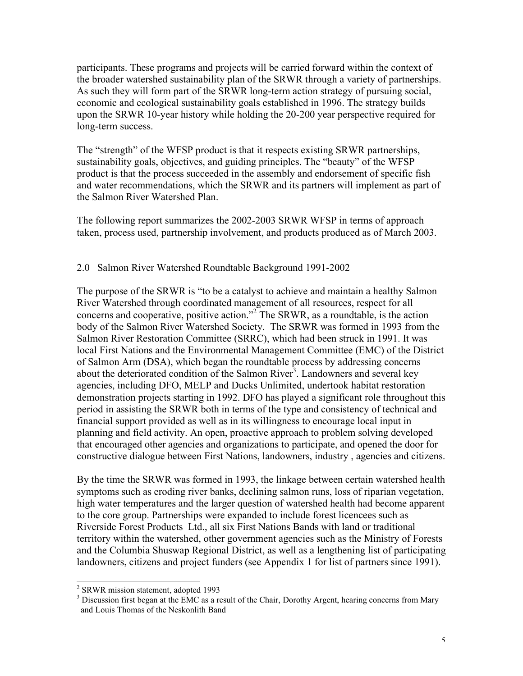participants. These programs and projects will be carried forward within the context of the broader watershed sustainability plan of the SRWR through a variety of partnerships. As such they will form part of the SRWR long-term action strategy of pursuing social, economic and ecological sustainability goals established in 1996. The strategy builds upon the SRWR 10-year history while holding the 20-200 year perspective required for long-term success.

The "strength" of the WFSP product is that it respects existing SRWR partnerships, sustainability goals, objectives, and guiding principles. The "beauty" of the WFSP product is that the process succeeded in the assembly and endorsement of specific fish and water recommendations, which the SRWR and its partners will implement as part of the Salmon River Watershed Plan.

The following report summarizes the 2002-2003 SRWR WFSP in terms of approach taken, process used, partnership involvement, and products produced as of March 2003.

## 2.0 Salmon River Watershed Roundtable Background 1991-2002

The purpose of the SRWR is "to be a catalyst to achieve and maintain a healthy Salmon River Watershed through coordinated management of all resources, respect for all concerns and cooperative, positive action." 2 The SRWR, as a roundtable, is the action body of the Salmon River Watershed Society. The SRWR was formed in 1993 from the Salmon River Restoration Committee (SRRC), which had been struck in 1991. It was local First Nations and the Environmental Management Committee (EMC) of the District of Salmon Arm (DSA), which began the roundtable process by addressing concerns about the deteriorated condition of the Salmon River<sup>3</sup>. Landowners and several key agencies, including DFO, MELP and Ducks Unlimited, undertook habitat restoration demonstration projects starting in 1992. DFO has played a significant role throughout this period in assisting the SRWR both in terms of the type and consistency of technical and financial support provided as well as in its willingness to encourage local input in planning and field activity. An open, proactive approach to problem solving developed that encouraged other agencies and organizations to participate, and opened the door for constructive dialogue between First Nations, landowners, industry , agencies and citizens.

By the time the SRWR was formed in 1993, the linkage between certain watershed health symptoms such as eroding river banks, declining salmon runs, loss of riparian vegetation, high water temperatures and the larger question of watershed health had become apparent to the core group. Partnerships were expanded to include forest licencees such as Riverside Forest Products Ltd., all six First Nations Bands with land or traditional territory within the watershed, other government agencies such as the Ministry of Forests and the Columbia Shuswap Regional District, as well as a lengthening list of participating landowners, citizens and project funders (see Appendix 1 for list of partners since 1991).

 $\frac{2}{3}$  SRWR mission statement, adopted 1993<br> $\frac{3}{3}$  Discussion first began at the EMC as a result of the Chair, Dorothy Argent, hearing concerns from Mary and Louis Thomas of the Neskonlith Band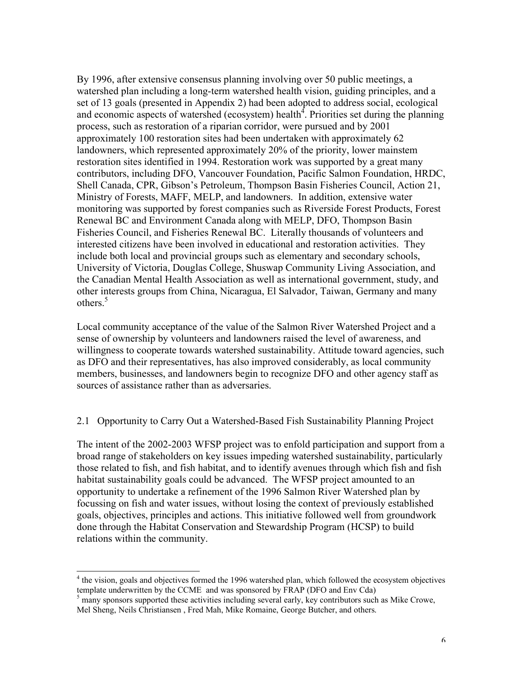By 1996, after extensive consensus planning involving over 50 public meetings, a watershed plan including a long-term watershed health vision, guiding principles, and a set of 13 goals (presented in Appendix 2) had been adopted to address social, ecological and economic aspects of watershed (ecosystem) health<sup>4</sup>. Priorities set during the planning process, such as restoration of a riparian corridor, were pursued and by 2001 approximately 100 restoration sites had been undertaken with approximately 62 landowners, which represented approximately 20% of the priority, lower mainstem restoration sites identified in 1994. Restoration work was supported by a great many contributors, including DFO, Vancouver Foundation, Pacific Salmon Foundation, HRDC, Shell Canada, CPR, Gibson's Petroleum, Thompson Basin Fisheries Council, Action 21, Ministry of Forests, MAFF, MELP, and landowners. In addition, extensive water monitoring was supported by forest companies such as Riverside Forest Products, Forest Renewal BC and Environment Canada along with MELP, DFO, Thompson Basin Fisheries Council, and Fisheries Renewal BC. Literally thousands of volunteers and interested citizens have been involved in educational and restoration activities. They include both local and provincial groups such as elementary and secondary schools, University of Victoria, Douglas College, Shuswap Community Living Association, and the Canadian Mental Health Association as well as international government, study, and other interests groups from China, Nicaragua, El Salvador, Taiwan, Germany and many others. 5

Local community acceptance of the value of the Salmon River Watershed Project and a sense of ownership by volunteers and landowners raised the level of awareness, and willingness to cooperate towards watershed sustainability. Attitude toward agencies, such as DFO and their representatives, has also improved considerably, as local community members, businesses, and landowners begin to recognize DFO and other agency staff as sources of assistance rather than as adversaries.

#### 2.1 Opportunity to Carry Out a Watershed-Based Fish Sustainability Planning Project

The intent of the 2002-2003 WFSP project was to enfold participation and support from a broad range of stakeholders on key issues impeding watershed sustainability, particularly those related to fish, and fish habitat, and to identify avenues through which fish and fish habitat sustainability goals could be advanced. The WFSP project amounted to an opportunity to undertake a refinement of the 1996 Salmon River Watershed plan by focussing on fish and water issues, without losing the context of previously established goals, objectives, principles and actions. This initiative followed well from groundwork done through the Habitat Conservation and Stewardship Program (HCSP) to build relations within the community.

 $4$  the vision, goals and objectives formed the 1996 watershed plan, which followed the ecosystem objectives template underwritten by the CCME and was sponsored by FRAP (DFO and Env Cda)

 $5$  many sponsors supported these activities including several early, key contributors such as Mike Crowe, Mel Sheng, Neils Christiansen , Fred Mah, Mike Romaine, George Butcher, and others.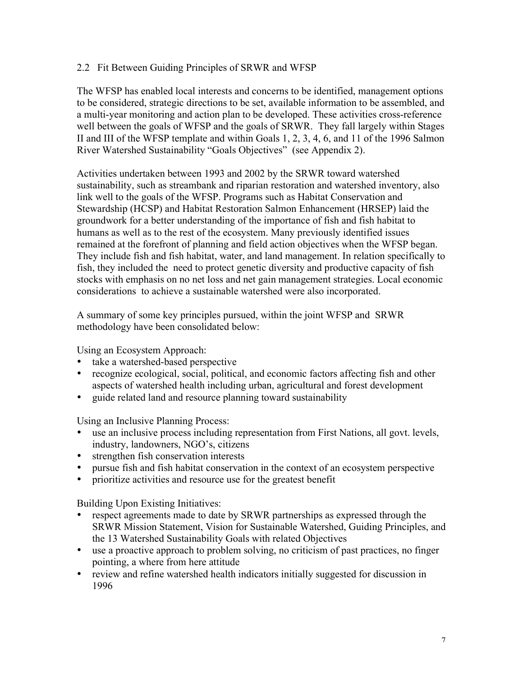#### 2.2 Fit Between Guiding Principles of SRWR and WFSP

The WFSP has enabled local interests and concerns to be identified, management options to be considered, strategic directions to be set, available information to be assembled, and a multi-year monitoring and action plan to be developed. These activities cross-reference well between the goals of WFSP and the goals of SRWR. They fall largely within Stages II and III of the WFSP template and within Goals 1, 2, 3, 4, 6, and 11 of the 1996 Salmon River Watershed Sustainability "Goals Objectives" (see Appendix 2).

Activities undertaken between 1993 and 2002 by the SRWR toward watershed sustainability, such as streambank and riparian restoration and watershed inventory, also link well to the goals of the WFSP. Programs such as Habitat Conservation and Stewardship (HCSP) and Habitat Restoration Salmon Enhancement (HRSEP) laid the groundwork for a better understanding of the importance of fish and fish habitat to humans as well as to the rest of the ecosystem. Many previously identified issues remained at the forefront of planning and field action objectives when the WFSP began. They include fish and fish habitat, water, and land management. In relation specifically to fish, they included the need to protect genetic diversity and productive capacity of fish stocks with emphasis on no net loss and net gain management strategies. Local economic considerations to achieve a sustainable watershed were also incorporated.

A summary of some key principles pursued, within the joint WFSP and SRWR methodology have been consolidated below:

Using an Ecosystem Approach:

- take a watershed-based perspective
- recognize ecological, social, political, and economic factors affecting fish and other aspects of watershed health including urban, agricultural and forest development
- guide related land and resource planning toward sustainability

Using an Inclusive Planning Process:

- use an inclusive process including representation from First Nations, all govt. levels, industry, landowners, NGO's, citizens
- strengthen fish conservation interests
- pursue fish and fish habitat conservation in the context of an ecosystem perspective
- prioritize activities and resource use for the greatest benefit

Building Upon Existing Initiatives:

- respect agreements made to date by SRWR partnerships as expressed through the SRWR Mission Statement, Vision for Sustainable Watershed, Guiding Principles, and the 13 Watershed Sustainability Goals with related Objectives
- use a proactive approach to problem solving, no criticism of past practices, no finger pointing, a where from here attitude
- review and refine watershed health indicators initially suggested for discussion in 1996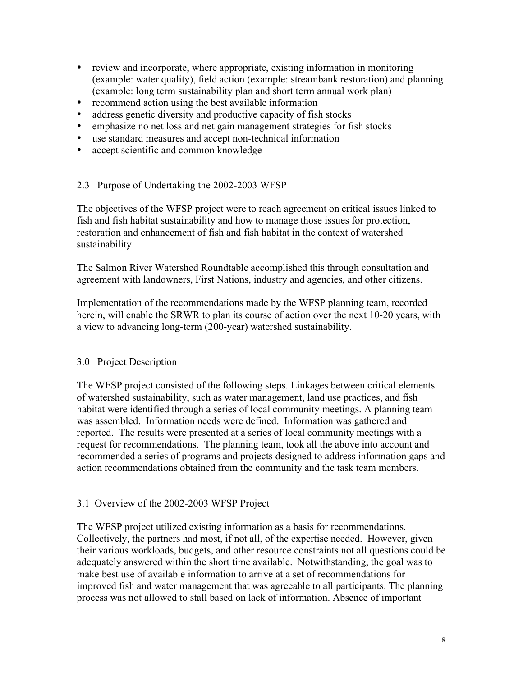- review and incorporate, where appropriate, existing information in monitoring (example: water quality), field action (example: streambank restoration) and planning (example: long term sustainability plan and short term annual work plan)
- recommend action using the best available information
- address genetic diversity and productive capacity of fish stocks
- emphasize no net loss and net gain management strategies for fish stocks
- use standard measures and accept non-technical information
- accept scientific and common knowledge

## 2.3 Purpose of Undertaking the 2002-2003 WFSP

The objectives of the WFSP project were to reach agreement on critical issues linked to fish and fish habitat sustainability and how to manage those issues for protection, restoration and enhancement of fish and fish habitat in the context of watershed sustainability.

The Salmon River Watershed Roundtable accomplished this through consultation and agreement with landowners, First Nations, industry and agencies, and other citizens.

Implementation of the recommendations made by the WFSP planning team, recorded herein, will enable the SRWR to plan its course of action over the next 10-20 years, with a view to advancing long-term (200-year) watershed sustainability.

## 3.0 Project Description

The WFSP project consisted of the following steps. Linkages between critical elements of watershed sustainability, such as water management, land use practices, and fish habitat were identified through a series of local community meetings. A planning team was assembled. Information needs were defined. Information was gathered and reported. The results were presented at a series of local community meetings with a request for recommendations. The planning team, took all the above into account and recommended a series of programs and projects designed to address information gaps and action recommendations obtained from the community and the task team members.

## 3.1 Overview of the 2002-2003 WFSP Project

The WFSP project utilized existing information as a basis for recommendations. Collectively, the partners had most, if not all, of the expertise needed. However, given their various workloads, budgets, and other resource constraints not all questions could be adequately answered within the short time available. Notwithstanding, the goal was to make best use of available information to arrive at a set of recommendations for improved fish and water management that was agreeable to all participants. The planning process was not allowed to stall based on lack of information. Absence of important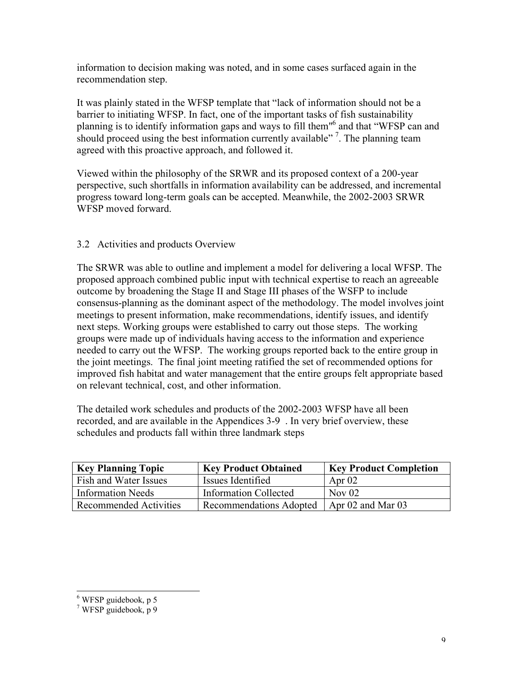information to decision making was noted, and in some cases surfaced again in the recommendation step.

It was plainly stated in the WFSP template that "lack of information should not be a barrier to initiating WFSP. In fact, one of the important tasks of fish sustainability planning is to identify information gaps and ways to fill them"<sup>6</sup> and that "WFSP can and should proceed using the best information currently available"<sup>7</sup>. The planning team agreed with this proactive approach, and followed it.

Viewed within the philosophy of the SRWR and its proposed context of a 200-year perspective, such shortfalls in information availability can be addressed, and incremental progress toward long-term goals can be accepted. Meanwhile, the 2002-2003 SRWR WFSP moved forward.

## 3.2 Activities and products Overview

The SRWR was able to outline and implement a model for delivering a local WFSP. The proposed approach combined public input with technical expertise to reach an agreeable outcome by broadening the Stage II and Stage III phases of the WSFP to include consensus-planning as the dominant aspect of the methodology. The model involves joint meetings to present information, make recommendations, identify issues, and identify next steps. Working groups were established to carry out those steps. The working groups were made up of individuals having access to the information and experience needed to carry out the WFSP. The working groups reported back to the entire group in the joint meetings. The final joint meeting ratified the set of recommended options for improved fish habitat and water management that the entire groups felt appropriate based on relevant technical, cost, and other information.

The detailed work schedules and products of the 2002-2003 WFSP have all been recorded, and are available in the Appendices 3-9 . In very brief overview, these schedules and products fall within three landmark steps

| <b>Key Planning Topic</b>    | <b>Key Product Obtained</b>    | <b>Key Product Completion</b> |
|------------------------------|--------------------------------|-------------------------------|
| <b>Fish and Water Issues</b> | Issues Identified              | Apr $02$                      |
| Information Needs            | <b>Information Collected</b>   | Nov $02$                      |
| Recommended Activities       | <b>Recommendations Adopted</b> | Apr $02$ and Mar $03$         |

 $\frac{6}{7}$  WFSP guidebook, p 5<br> $\frac{7}{7}$  WFSP guidebook, p 9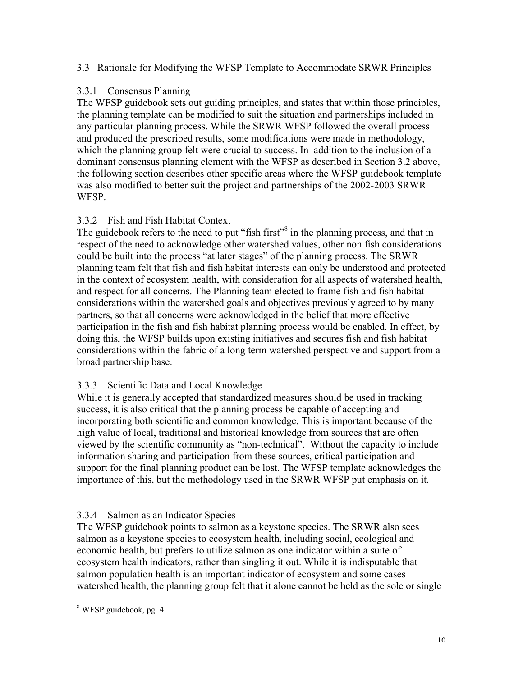## 3.3 Rationale for Modifying the WFSP Template to Accommodate SRWR Principles

## 3.3.1 Consensus Planning

The WFSP guidebook sets out guiding principles, and states that within those principles, the planning template can be modified to suit the situation and partnerships included in any particular planning process. While the SRWR WFSP followed the overall process and produced the prescribed results, some modifications were made in methodology, which the planning group felt were crucial to success. In addition to the inclusion of a dominant consensus planning element with the WFSP as described in Section 3.2 above, the following section describes other specific areas where the WFSP guidebook template was also modified to better suit the project and partnerships of the 2002-2003 SRWR WFSP.

## 3.3.2 Fish and Fish Habitat Context

The guidebook refers to the need to put "fish first"<sup>8</sup> in the planning process, and that in respect of the need to acknowledge other watershed values, other non fish considerations could be built into the process "at later stages" of the planning process. The SRWR planning team felt that fish and fish habitat interests can only be understood and protected in the context of ecosystem health, with consideration for all aspects of watershed health, and respect for all concerns. The Planning team elected to frame fish and fish habitat considerations within the watershed goals and objectives previously agreed to by many partners, so that all concerns were acknowledged in the belief that more effective participation in the fish and fish habitat planning process would be enabled. In effect, by doing this, the WFSP builds upon existing initiatives and secures fish and fish habitat considerations within the fabric of a long term watershed perspective and support from a broad partnership base.

## 3.3.3 Scientific Data and Local Knowledge

While it is generally accepted that standardized measures should be used in tracking success, it is also critical that the planning process be capable of accepting and incorporating both scientific and common knowledge. This is important because of the high value of local, traditional and historical knowledge from sources that are often viewed by the scientific community as "non-technical". Without the capacity to include information sharing and participation from these sources, critical participation and support for the final planning product can be lost. The WFSP template acknowledges the importance of this, but the methodology used in the SRWR WFSP put emphasis on it.

## 3.3.4 Salmon as an Indicator Species

The WFSP guidebook points to salmon as a keystone species. The SRWR also sees salmon as a keystone species to ecosystem health, including social, ecological and economic health, but prefers to utilize salmon as one indicator within a suite of ecosystem health indicators, rather than singling it out. While it is indisputable that salmon population health is an important indicator of ecosystem and some cases watershed health, the planning group felt that it alone cannot be held as the sole or single

 <sup>8</sup> WFSP guidebook, pg. <sup>4</sup>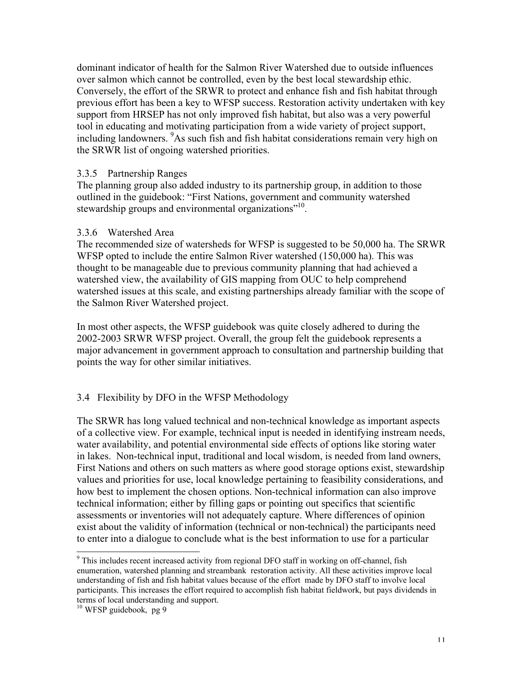dominant indicator of health for the Salmon River Watershed due to outside influences over salmon which cannot be controlled, even by the best local stewardship ethic. Conversely, the effort of the SRWR to protect and enhance fish and fish habitat through previous effort has been a key to WFSP success. Restoration activity undertaken with key support from HRSEP has not only improved fish habitat, but also was a very powerful tool in educating and motivating participation from a wide variety of project support, including landowners. <sup>9</sup>As such fish and fish habitat considerations remain very high on the SRWR list of ongoing watershed priorities.

#### 3.3.5 Partnership Ranges

The planning group also added industry to its partnership group, in addition to those outlined in the guidebook: "First Nations, government and community watershed stewardship groups and environmental organizations"<sup>10</sup>.

#### 3.3.6 Watershed Area

The recommended size of watersheds for WFSP is suggested to be 50,000 ha. The SRWR WFSP opted to include the entire Salmon River watershed (150,000 ha). This was thought to be manageable due to previous community planning that had achieved a watershed view, the availability of GIS mapping from OUC to help comprehend watershed issues at this scale, and existing partnerships already familiar with the scope of the Salmon River Watershed project.

In most other aspects, the WFSP guidebook was quite closely adhered to during the 2002-2003 SRWR WFSP project. Overall, the group felt the guidebook represents a major advancement in government approach to consultation and partnership building that points the way for other similar initiatives.

## 3.4 Flexibility by DFO in the WFSP Methodology

The SRWR has long valued technical and non-technical knowledge as important aspects of a collective view. For example, technical input is needed in identifying instream needs, water availability, and potential environmental side effects of options like storing water in lakes. Non-technical input, traditional and local wisdom, is needed from land owners, First Nations and others on such matters as where good storage options exist, stewardship values and priorities for use, local knowledge pertaining to feasibility considerations, and how best to implement the chosen options. Non-technical information can also improve technical information; either by filling gaps or pointing out specifics that scientific assessments or inventories will not adequately capture. Where differences of opinion exist about the validity of information (technical or non-technical) the participants need to enter into a dialogue to conclude what is the best information to use for a particular

<sup>&</sup>lt;sup>9</sup> This includes recent increased activity from regional DFO staff in working on off-channel, fish enumeration, watershed planning and streambank restoration activity. All these activities improve local understanding of fish and fish habitat values because of the effort made by DFO staff to involve local participants. This increases the effort required to accomplish fish habitat fieldwork, but pays dividends in terms of local understanding and support. <sup>10</sup> WFSP guidebook, pg 9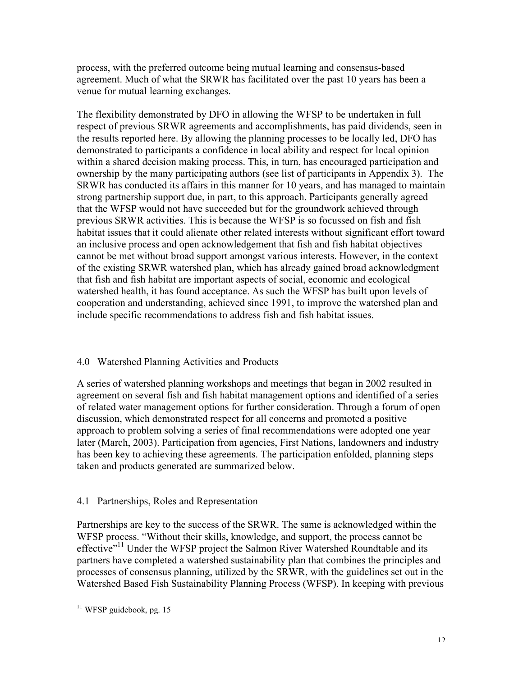process, with the preferred outcome being mutual learning and consensus-based agreement. Much of what the SRWR has facilitated over the past 10 years has been a venue for mutual learning exchanges.

The flexibility demonstrated by DFO in allowing the WFSP to be undertaken in full respect of previous SRWR agreements and accomplishments, has paid dividends, seen in the results reported here. By allowing the planning processes to be locally led, DFO has demonstrated to participants a confidence in local ability and respect for local opinion within a shared decision making process. This, in turn, has encouraged participation and ownership by the many participating authors (see list of participants in Appendix 3). The SRWR has conducted its affairs in this manner for 10 years, and has managed to maintain strong partnership support due, in part, to this approach. Participants generally agreed that the WFSP would not have succeeded but for the groundwork achieved through previous SRWR activities. This is because the WFSP is so focussed on fish and fish habitat issues that it could alienate other related interests without significant effort toward an inclusive process and open acknowledgement that fish and fish habitat objectives cannot be met without broad support amongst various interests. However, in the context of the existing SRWR watershed plan, which has already gained broad acknowledgment that fish and fish habitat are important aspects of social, economic and ecological watershed health, it has found acceptance. As such the WFSP has built upon levels of cooperation and understanding, achieved since 1991, to improve the watershed plan and include specific recommendations to address fish and fish habitat issues.

## 4.0 Watershed Planning Activities and Products

A series of watershed planning workshops and meetings that began in 2002 resulted in agreement on several fish and fish habitat management options and identified of a series of related water management options for further consideration. Through a forum of open discussion, which demonstrated respect for all concerns and promoted a positive approach to problem solving a series of final recommendations were adopted one year later (March, 2003). Participation from agencies, First Nations, landowners and industry has been key to achieving these agreements. The participation enfolded, planning steps taken and products generated are summarized below.

## 4.1 Partnerships, Roles and Representation

Partnerships are key to the success of the SRWR. The same is acknowledged within the WFSP process. "Without their skills, knowledge, and support, the process cannot be effective"<sup>11</sup> Under the WFSP project the Salmon River Watershed Roundtable and its partners have completed a watershed sustainability plan that combines the principles and processes of consensus planning, utilized by the SRWR, with the guidelines set out in the Watershed Based Fish Sustainability Planning Process (WFSP). In keeping with previous

 $11$  WFSP guidebook, pg. 15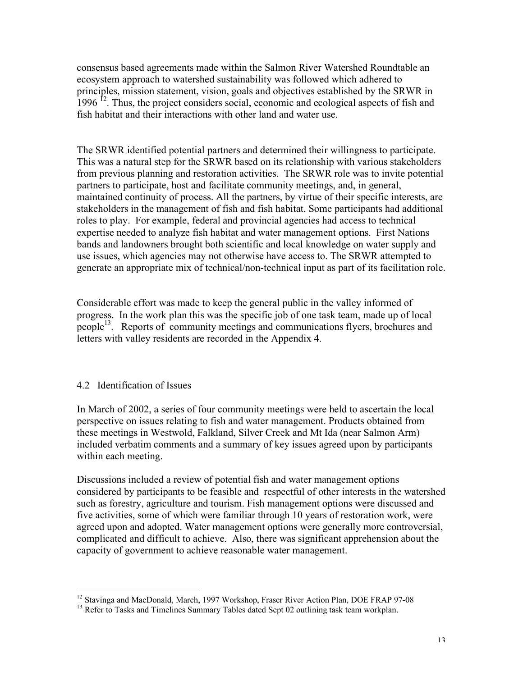consensus based agreements made within the Salmon River Watershed Roundtable an ecosystem approach to watershed sustainability was followed which adhered to principles, mission statement, vision, goals and objectives established by the SRWR in  $1996$  <sup>12</sup>. Thus, the project considers social, economic and ecological aspects of fish and fish habitat and their interactions with other land and water use.

The SRWR identified potential partners and determined their willingness to participate. This was a natural step for the SRWR based on its relationship with various stakeholders from previous planning and restoration activities. The SRWR role was to invite potential partners to participate, host and facilitate community meetings, and, in general, maintained continuity of process. All the partners, by virtue of their specific interests, are stakeholders in the management of fish and fish habitat. Some participants had additional roles to play. For example, federal and provincial agencies had access to technical expertise needed to analyze fish habitat and water management options. First Nations bands and landowners brought both scientific and local knowledge on water supply and use issues, which agencies may not otherwise have access to. The SRWR attempted to generate an appropriate mix of technical/non-technical input as part of its facilitation role.

Considerable effort was made to keep the general public in the valley informed of progress. In the work plan this was the specific job of one task team, made up of local people<sup>13</sup>. Reports of community meetings and communications flyers, brochures and letters with valley residents are recorded in the Appendix 4.

#### 4.2 Identification of Issues

In March of 2002, a series of four community meetings were held to ascertain the local perspective on issues relating to fish and water management. Products obtained from these meetings in Westwold, Falkland, Silver Creek and Mt Ida (near Salmon Arm) included verbatim comments and a summary of key issues agreed upon by participants within each meeting.

Discussions included a review of potential fish and water management options considered by participants to be feasible and respectful of other interests in the watershed such as forestry, agriculture and tourism. Fish management options were discussed and five activities, some of which were familiar through 10 years of restoration work, were agreed upon and adopted. Water management options were generally more controversial, complicated and difficult to achieve. Also, there was significant apprehension about the capacity of government to achieve reasonable water management.

<sup>&</sup>lt;sup>12</sup> Stavinga and MacDonald, March, 1997 Workshop, Fraser River Action Plan, DOE FRAP 97-08<sup>13</sup> Refer to Tasks and Timelines Summary Tables dated Sept 02 outlining task team workplan.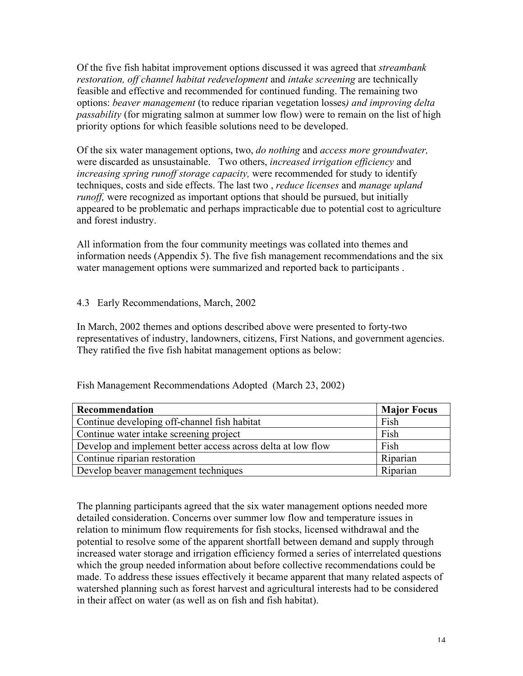Of the five fish habitat improvement options discussed it was agreed that *streambank restoration, off channel habitat redevelopment* and *intake screening* are technically feasible and effective and recommended for continued funding. The remaining two options: *beaver management* (to reduce riparian vegetation losses*) and improving delta passability* (for migrating salmon at summer low flow) were to remain on the list of high priority options for which feasible solutions need to be developed.

Of the six water management options, two, *do nothing* and *access more groundwater,* were discarded as unsustainable. Two others, *increased irrigation efficiency* and *increasing spring runoff storage capacity,* were recommended for study to identify techniques, costs and side effects. The last two , *reduce licenses* and *manage upland runoff*, were recognized as important options that should be pursued, but initially appeared to be problematic and perhaps impracticable due to potential cost to agriculture and forest industry.

All information from the four community meetings was collated into themes and information needs (Appendix 5). The five fish management recommendations and the six water management options were summarized and reported back to participants .

## 4.3 Early Recommendations, March, 2002

In March, 2002 themes and options described above were presented to forty-two representatives of industry, landowners, citizens, First Nations, and government agencies. They ratified the five fish habitat management options as below:

| Recommendation                                               | <b>Major Focus</b> |
|--------------------------------------------------------------|--------------------|
| Continue developing off-channel fish habitat                 | Fish               |
| Continue water intake screening project                      | Fish               |
| Develop and implement better access across delta at low flow | Fish               |
| Continue riparian restoration                                | Riparian           |
| Develop beaver management techniques                         | Riparian           |

Fish Management Recommendations Adopted (March 23, 2002)

The planning participants agreed that the six water management options needed more detailed consideration. Concerns over summer low flow and temperature issues in relation to minimum flow requirements for fish stocks, licensed withdrawal and the potential to resolve some of the apparent shortfall between demand and supply through increased water storage and irrigation efficiency formed a series of interrelated questions which the group needed information about before collective recommendations could be made. To address these issues effectively it became apparent that many related aspects of watershed planning such as forest harvest and agricultural interests had to be considered in their affect on water (as well as on fish and fish habitat).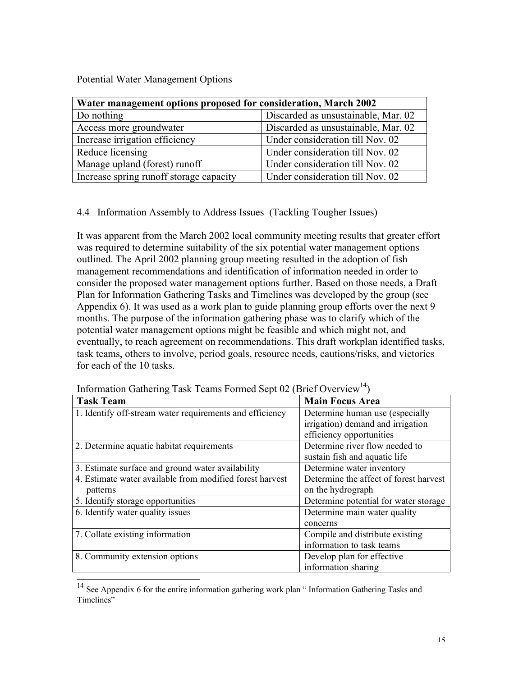Potential Water Management Options

| Water management options proposed for consideration, March 2002 |                                     |  |  |
|-----------------------------------------------------------------|-------------------------------------|--|--|
| Do nothing                                                      | Discarded as unsustainable, Mar. 02 |  |  |
| Access more groundwater                                         | Discarded as unsustainable, Mar. 02 |  |  |
| Increase irrigation efficiency                                  | Under consideration till Nov. 02    |  |  |
| Reduce licensing                                                | Under consideration till Nov. 02    |  |  |
| Manage upland (forest) runoff                                   | Under consideration till Nov. 02    |  |  |
| Increase spring runoff storage capacity                         | Under consideration till Nov. 02    |  |  |

4.4 Information Assembly to Address Issues (Tackling Tougher Issues)

It was apparent from the March 2002 local community meeting results that greater effort was required to determine suitability of the six potential water management options outlined. The April 2002 planning group meeting resulted in the adoption of fish management recommendations and identification of information needed in order to consider the proposed water management options further. Based on those needs, a Draft Plan for Information Gathering Tasks and Timelines was developed by the group (see Appendix 6). It was used as a work plan to guide planning group efforts over the next 9 months. The purpose of the information gathering phase was to clarify which of the potential water management options might be feasible and which might not, and eventually, to reach agreement on recommendations. This draft workplan identified tasks, task teams, others to involve, period goals, resource needs, cautions/risks, and victories for each of the 10 tasks.

| <b>Task Team</b>                                         | <b>Main Focus Area</b>                 |  |
|----------------------------------------------------------|----------------------------------------|--|
| 1. Identify off-stream water requirements and efficiency | Determine human use (especially        |  |
|                                                          | irrigation) demand and irrigation      |  |
|                                                          | efficiency opportunities               |  |
| 2. Determine aquatic habitat requirements                | Determine river flow needed to         |  |
|                                                          | sustain fish and aquatic life          |  |
| 3. Estimate surface and ground water availability        | Determine water inventory              |  |
| 4. Estimate water available from modified forest harvest | Determine the affect of forest harvest |  |
| patterns                                                 | on the hydrograph                      |  |
| 5. Identify storage opportunities                        | Determine potential for water storage  |  |
| 6. Identify water quality issues                         | Determine main water quality           |  |
|                                                          | concerns                               |  |
| 7. Collate existing information                          | Compile and distribute existing        |  |
|                                                          | information to task teams              |  |
| 8. Community extension options                           | Develop plan for effective             |  |
|                                                          | information sharing                    |  |

Information Gathering Task Teams Formed Sept 02 (Brief Overview<sup>14</sup>)

<sup>&</sup>lt;sup>14</sup> See Appendix 6 for the entire information gathering work plan " Information Gathering Tasks and Timelines"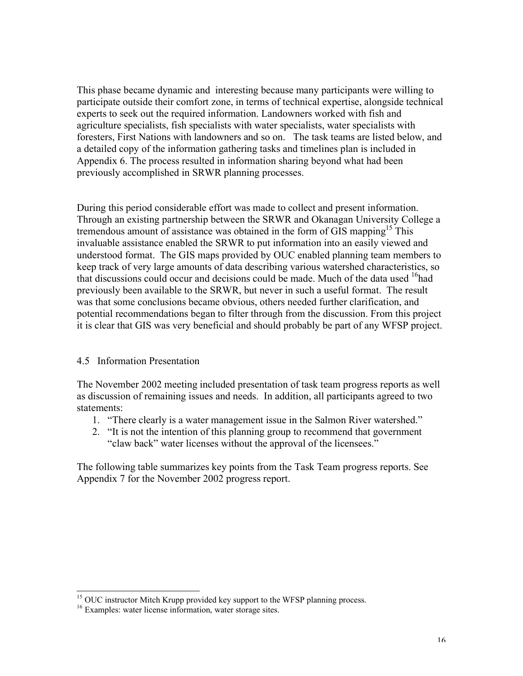This phase became dynamic and interesting because many participants were willing to participate outside their comfort zone, in terms of technical expertise, alongside technical experts to seek out the required information. Landowners worked with fish and agriculture specialists, fish specialists with water specialists, water specialists with foresters, First Nations with landowners and so on. The task teams are listed below, and a detailed copy of the information gathering tasks and timelines plan is included in Appendix 6. The process resulted in information sharing beyond what had been previously accomplished in SRWR planning processes.

During this period considerable effort was made to collect and present information. Through an existing partnership between the SRWR and Okanagan University College a tremendous amount of assistance was obtained in the form of GIS mapping<sup>15</sup> This invaluable assistance enabled the SRWR to put information into an easily viewed and understood format. The GIS maps provided by OUC enabled planning team members to keep track of very large amounts of data describing various watershed characteristics, so that discussions could occur and decisions could be made. Much of the data used  $16$ had previously been available to the SRWR, but never in such a useful format. The result was that some conclusions became obvious, others needed further clarification, and potential recommendations began to filter through from the discussion. From this project it is clear that GIS was very beneficial and should probably be part of any WFSP project.

## 4.5 Information Presentation

The November 2002 meeting included presentation of task team progress reports as well as discussion of remaining issues and needs. In addition, all participants agreed to two statements:

- 1. "There clearly is a water management issue in the Salmon River watershed."
- 2. "It is not the intention of this planning group to recommend that government "claw back" water licenses without the approval of the licensees."

The following table summarizes key points from the Task Team progress reports. See Appendix 7 for the November 2002 progress report.

<sup>&</sup>lt;sup>15</sup> OUC instructor Mitch Krupp provided key support to the WFSP planning process.  $16$  Examples: water license information, water storage sites.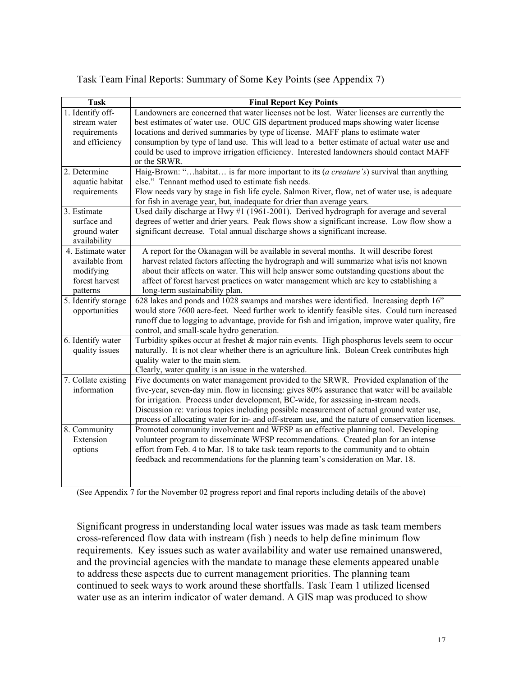|  |  | Task Team Final Reports: Summary of Some Key Points (see Appendix 7) |
|--|--|----------------------------------------------------------------------|

| <b>Task</b>         |                                                                                                  |
|---------------------|--------------------------------------------------------------------------------------------------|
|                     | <b>Final Report Key Points</b>                                                                   |
| 1. Identify off-    | Landowners are concerned that water licenses not be lost. Water licenses are currently the       |
| stream water        | best estimates of water use. OUC GIS department produced maps showing water license              |
| requirements        | locations and derived summaries by type of license. MAFF plans to estimate water                 |
| and efficiency      | consumption by type of land use. This will lead to a better estimate of actual water use and     |
|                     | could be used to improve irrigation efficiency. Interested landowners should contact MAFF        |
|                     | or the SRWR.                                                                                     |
| 2. Determine        | Haig-Brown: "habitat is far more important to its (a creature's) survival than anything          |
| aquatic habitat     | else." Tennant method used to estimate fish needs.                                               |
| requirements        | Flow needs vary by stage in fish life cycle. Salmon River, flow, net of water use, is adequate   |
|                     | for fish in average year, but, inadequate for drier than average years.                          |
| 3. Estimate         | Used daily discharge at Hwy $#1$ (1961-2001). Derived hydrograph for average and several         |
| surface and         | degrees of wetter and drier years. Peak flows show a significant increase. Low flow show a       |
| ground water        | significant decrease. Total annual discharge shows a significant increase.                       |
| availability        |                                                                                                  |
| 4. Estimate water   | A report for the Okanagan will be available in several months. It will describe forest           |
| available from      | harvest related factors affecting the hydrograph and will summarize what is/is not known         |
| modifying           | about their affects on water. This will help answer some outstanding questions about the         |
| forest harvest      | affect of forest harvest practices on water management which are key to establishing a           |
| patterns            | long-term sustainability plan.                                                                   |
| 5. Identify storage | 628 lakes and ponds and 1028 swamps and marshes were identified. Increasing depth 16"            |
| opportunities       | would store 7600 acre-feet. Need further work to identify feasible sites. Could turn increased   |
|                     | runoff due to logging to advantage, provide for fish and irrigation, improve water quality, fire |
|                     | control, and small-scale hydro generation.                                                       |
| 6. Identify water   | Turbidity spikes occur at freshet & major rain events. High phosphorus levels seem to occur      |
| quality issues      | naturally. It is not clear whether there is an agriculture link. Bolean Creek contributes high   |
|                     | quality water to the main stem.                                                                  |
|                     | Clearly, water quality is an issue in the watershed.                                             |
| 7. Collate existing | Five documents on water management provided to the SRWR. Provided explanation of the             |
| information         | five-year, seven-day min. flow in licensing: gives 80% assurance that water will be available    |
|                     | for irrigation. Process under development, BC-wide, for assessing in-stream needs.               |
|                     | Discussion re: various topics including possible measurement of actual ground water use,         |
|                     | process of allocating water for in- and off-stream use, and the nature of conservation licenses. |
| 8. Community        | Promoted community involvement and WFSP as an effective planning tool. Developing                |
| Extension           | volunteer program to disseminate WFSP recommendations. Created plan for an intense               |
| options             | effort from Feb. 4 to Mar. 18 to take task team reports to the community and to obtain           |
|                     | feedback and recommendations for the planning team's consideration on Mar. 18.                   |
|                     |                                                                                                  |
|                     |                                                                                                  |

(See Appendix 7 for the November 02 progress report and final reports including details of the above)

Significant progress in understanding local water issues was made as task team members cross-referenced flow data with instream (fish ) needs to help define minimum flow requirements. Key issues such as water availability and water use remained unanswered, and the provincial agencies with the mandate to manage these elements appeared unable to address these aspects due to current management priorities. The planning team continued to seek ways to work around these shortfalls. Task Team 1 utilized licensed water use as an interim indicator of water demand. A GIS map was produced to show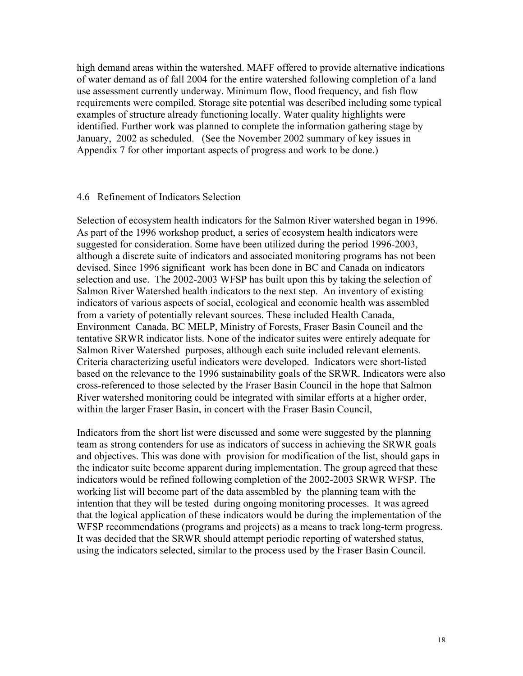high demand areas within the watershed. MAFF offered to provide alternative indications of water demand as of fall 2004 for the entire watershed following completion of a land use assessment currently underway. Minimum flow, flood frequency, and fish flow requirements were compiled. Storage site potential was described including some typical examples of structure already functioning locally. Water quality highlights were identified. Further work was planned to complete the information gathering stage by January, 2002 as scheduled. (See the November 2002 summary of key issues in Appendix 7 for other important aspects of progress and work to be done.)

#### 4.6 Refinement of Indicators Selection

Selection of ecosystem health indicators for the Salmon River watershed began in 1996. As part of the 1996 workshop product, a series of ecosystem health indicators were suggested for consideration. Some have been utilized during the period 1996-2003, although a discrete suite of indicators and associated monitoring programs has not been devised. Since 1996 significant work has been done in BC and Canada on indicators selection and use. The 2002-2003 WFSP has built upon this by taking the selection of Salmon River Watershed health indicators to the next step. An inventory of existing indicators of various aspects of social, ecological and economic health was assembled from a variety of potentially relevant sources. These included Health Canada, Environment Canada, BC MELP, Ministry of Forests, Fraser Basin Council and the tentative SRWR indicator lists. None of the indicator suites were entirely adequate for Salmon River Watershed purposes, although each suite included relevant elements. Criteria characterizing useful indicators were developed. Indicators were short-listed based on the relevance to the 1996 sustainability goals of the SRWR. Indicators were also cross-referenced to those selected by the Fraser Basin Council in the hope that Salmon River watershed monitoring could be integrated with similar efforts at a higher order, within the larger Fraser Basin, in concert with the Fraser Basin Council,

Indicators from the short list were discussed and some were suggested by the planning team as strong contenders for use as indicators of success in achieving the SRWR goals and objectives. This was done with provision for modification of the list, should gaps in the indicator suite become apparent during implementation. The group agreed that these indicators would be refined following completion of the 2002-2003 SRWR WFSP. The working list will become part of the data assembled by the planning team with the intention that they will be tested during ongoing monitoring processes. It was agreed that the logical application of these indicators would be during the implementation of the WFSP recommendations (programs and projects) as a means to track long-term progress. It was decided that the SRWR should attempt periodic reporting of watershed status, using the indicators selected, similar to the process used by the Fraser Basin Council.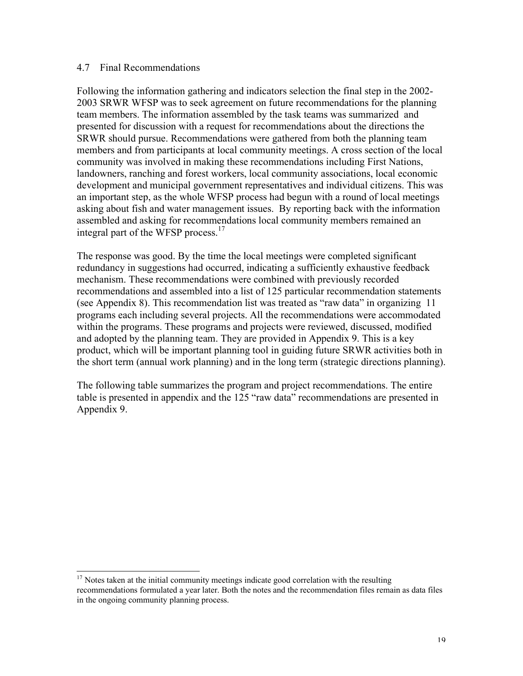#### 4.7 Final Recommendations

Following the information gathering and indicators selection the final step in the 2002- 2003 SRWR WFSP was to seek agreement on future recommendations for the planning team members. The information assembled by the task teams was summarized and presented for discussion with a request for recommendations about the directions the SRWR should pursue. Recommendations were gathered from both the planning team members and from participants at local community meetings. A cross section of the local community was involved in making these recommendations including First Nations, landowners, ranching and forest workers, local community associations, local economic development and municipal government representatives and individual citizens. This was an important step, as the whole WFSP process had begun with a round of local meetings asking about fish and water management issues. By reporting back with the information assembled and asking for recommendations local community members remained an integral part of the WFSP process.<sup>17</sup>

The response was good. By the time the local meetings were completed significant redundancy in suggestions had occurred, indicating a sufficiently exhaustive feedback mechanism. These recommendations were combined with previously recorded recommendations and assembled into a list of 125 particular recommendation statements (see Appendix 8). This recommendation list was treated as "raw data" in organizing 11 programs each including several projects. All the recommendations were accommodated within the programs. These programs and projects were reviewed, discussed, modified and adopted by the planning team. They are provided in Appendix 9. This is a key product, which will be important planning tool in guiding future SRWR activities both in the short term (annual work planning) and in the long term (strategic directions planning).

The following table summarizes the program and project recommendations. The entire table is presented in appendix and the 125 "raw data" recommendations are presented in Appendix 9.

<sup>&</sup>lt;sup>17</sup> Notes taken at the initial community meetings indicate good correlation with the resulting recommendations formulated a year later. Both the notes and the recommendation files remain as data files in the ongoing community planning process.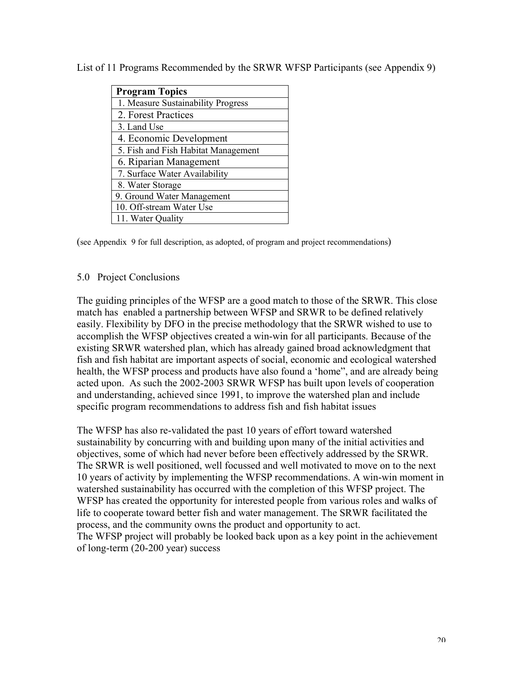List of 11 Programs Recommended by the SRWR WFSP Participants (see Appendix 9)

| <b>Program Topics</b>               |
|-------------------------------------|
| 1. Measure Sustainability Progress  |
| 2. Forest Practices                 |
| 3. Land Use                         |
| 4. Economic Development             |
| 5. Fish and Fish Habitat Management |
| 6. Riparian Management              |
| 7. Surface Water Availability       |
| 8. Water Storage                    |
| 9. Ground Water Management          |
| 10. Off-stream Water Use            |
| 11. Water Quality                   |

(see Appendix 9 for full description, as adopted, of program and project recommendations)

## 5.0 Project Conclusions

The guiding principles of the WFSP are a good match to those of the SRWR. This close match has enabled a partnership between WFSP and SRWR to be defined relatively easily. Flexibility by DFO in the precise methodology that the SRWR wished to use to accomplish the WFSP objectives created a win-win for all participants. Because of the existing SRWR watershed plan, which has already gained broad acknowledgment that fish and fish habitat are important aspects of social, economic and ecological watershed health, the WFSP process and products have also found a 'home", and are already being acted upon. As such the 2002-2003 SRWR WFSP has built upon levels of cooperation and understanding, achieved since 1991, to improve the watershed plan and include specific program recommendations to address fish and fish habitat issues

The WFSP has also re-validated the past 10 years of effort toward watershed sustainability by concurring with and building upon many of the initial activities and objectives, some of which had never before been effectively addressed by the SRWR. The SRWR is well positioned, well focussed and well motivated to move on to the next 10 years of activity by implementing the WFSP recommendations. A win-win moment in watershed sustainability has occurred with the completion of this WFSP project. The WFSP has created the opportunity for interested people from various roles and walks of life to cooperate toward better fish and water management. The SRWR facilitated the process, and the community owns the product and opportunity to act. The WFSP project will probably be looked back upon as a key point in the achievement of long-term (20-200 year) success